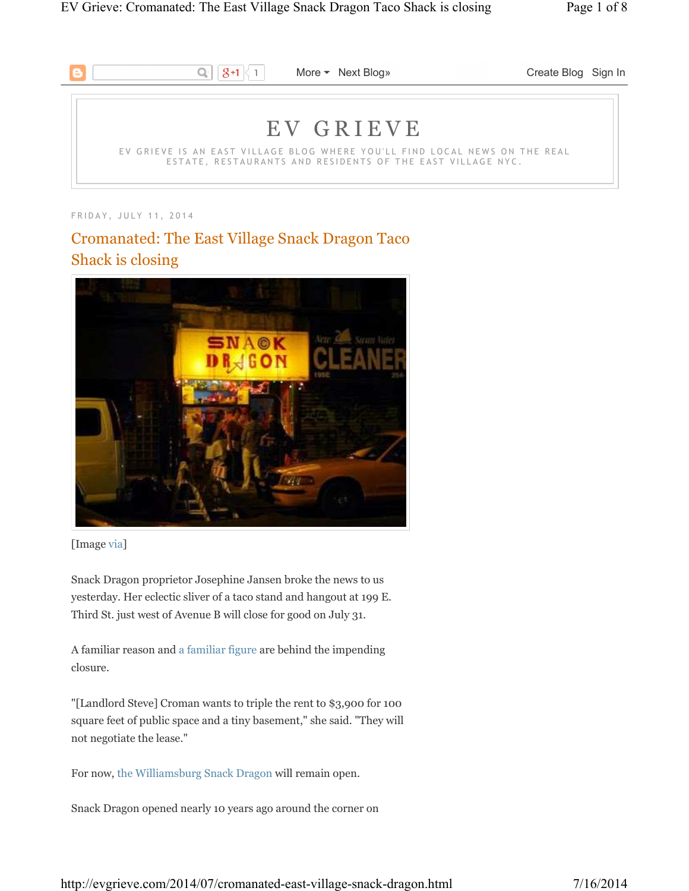

FRIDAY, JULY 11, 2014

# Cromanated: The East Village Snack Dragon Taco Shack is closing



<sup>[</sup>Image via]

Snack Dragon proprietor Josephine Jansen broke the news to us yesterday. Her eclectic sliver of a taco stand and hangout at 199 E. Third St. just west of Avenue B will close for good on July 31.

A familiar reason and a familiar figure are behind the impending closure.

"[Landlord Steve] Croman wants to triple the rent to \$3,900 for 100 square feet of public space and a tiny basement," she said. "They will not negotiate the lease."

For now, the Williamsburg Snack Dragon will remain open.

Snack Dragon opened nearly 10 years ago around the corner on

http://evgrieve.com/2014/07/cromanated-east-village-snack-dragon.html 7/16/2014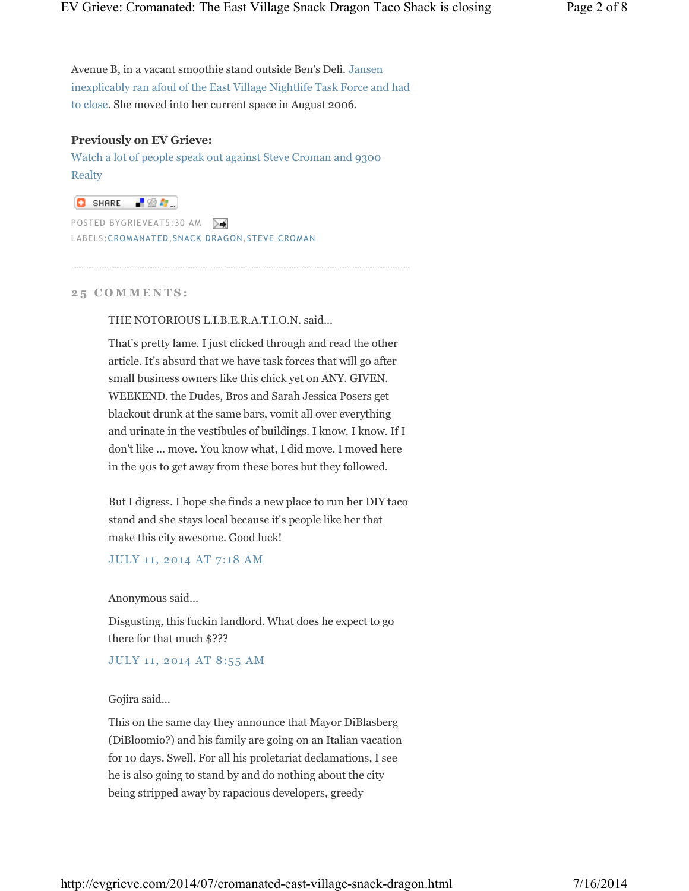Avenue B, in a vacant smoothie stand outside Ben's Deli. Jansen inexplicably ran afoul of the East Village Nightlife Task Force and had to close. She moved into her current space in August 2006.

#### **Previously on EV Grieve:**

Watch a lot of people speak out against Steve Croman and 9300 **Realty** 

**O** SHARE 【验*题*…】

POSTED BYGRIEVEAT5:30 AM LABELS:CROMANATED,SNACK DRAGON,STEVE CROMAN

**2 5 C O M M E N T S :**

THE NOTORIOUS L.I.B.E.R.A.T.I.O.N. said...

That's pretty lame. I just clicked through and read the other article. It's absurd that we have task forces that will go after small business owners like this chick yet on ANY. GIVEN. WEEKEND. the Dudes, Bros and Sarah Jessica Posers get blackout drunk at the same bars, vomit all over everything and urinate in the vestibules of buildings. I know. I know. If I don't like ... move. You know what, I did move. I moved here in the 90s to get away from these bores but they followed.

But I digress. I hope she finds a new place to run her DIY taco stand and she stays local because it's people like her that make this city awesome. Good luck!

JULY 11, 2014 AT 7:18 AM

Anonymous said...

Disgusting, this fuckin landlord. What does he expect to go there for that much \$???

JULY 11, 2014 AT 8:55 AM

Gojira said...

This on the same day they announce that Mayor DiBlasberg (DiBloomio?) and his family are going on an Italian vacation for 10 days. Swell. For all his proletariat declamations, I see he is also going to stand by and do nothing about the city being stripped away by rapacious developers, greedy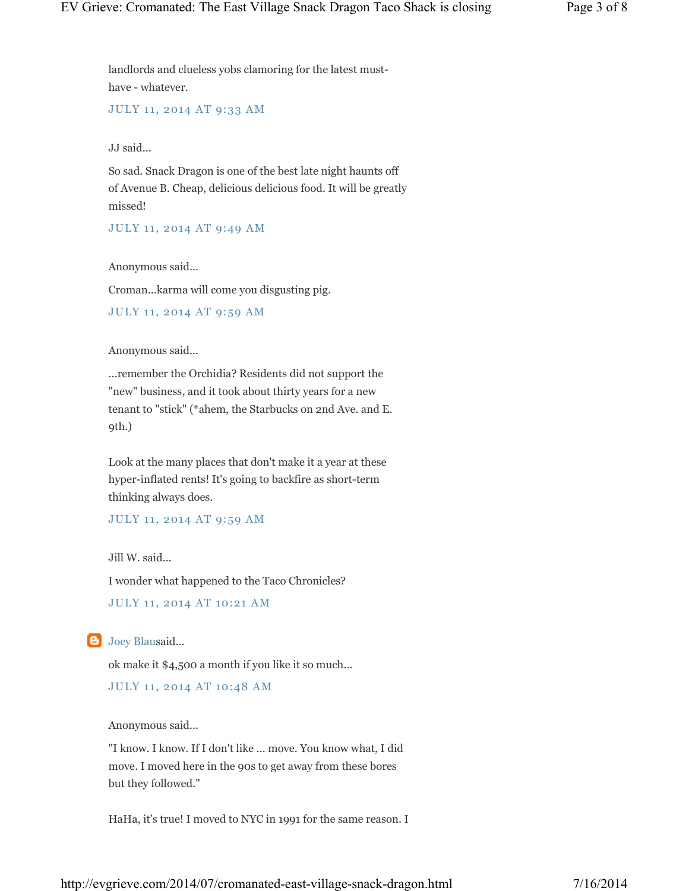landlords and clueless yobs clamoring for the latest musthave - whatever.

JULY 11, 2014 AT 9:33 AM

JJ said...

So sad. Snack Dragon is one of the best late night haunts off of Avenue B. Cheap, delicious delicious food. It will be greatly missed!

JULY 11, 2014 AT 9:49 AM

Anonymous said...

Croman...karma will come you disgusting pig.

```
JULY 11, 2014 AT 9:59 AM
```
Anonymous said...

...remember the Orchidia? Residents did not support the "new" business, and it took about thirty years for a new tenant to "stick" (\*ahem, the Starbucks on 2nd Ave. and E. 9th.)

Look at the many places that don't make it a year at these hyper-inflated rents! It's going to backfire as short-term thinking always does.

JULY 11, 2014 AT 9:59 AM

Jill W. said...

I wonder what happened to the Taco Chronicles?

JULY 11, 2014 AT 10:21 AM

**B** Joey Blausaid...

ok make it \$4,500 a month if you like it so much...

JULY 11, 2014 AT 10:48 AM

Anonymous said...

"I know. I know. If I don't like ... move. You know what, I did move. I moved here in the 90s to get away from these bores but they followed."

HaHa, it's true! I moved to NYC in 1991 for the same reason. I

http://evgrieve.com/2014/07/cromanated-east-village-snack-dragon.html 7/16/2014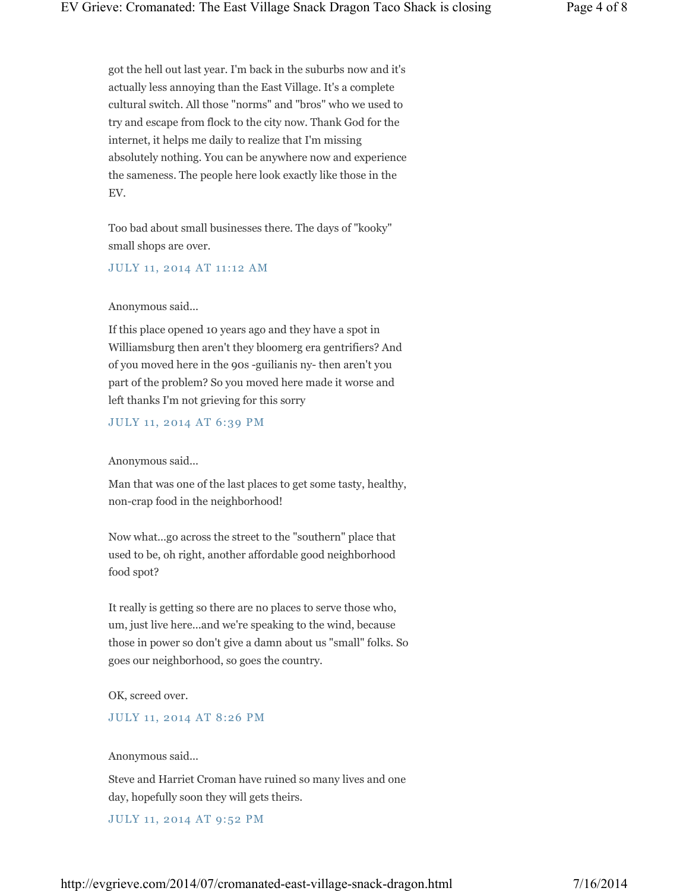got the hell out last year. I'm back in the suburbs now and it's actually less annoying than the East Village. It's a complete cultural switch. All those "norms" and "bros" who we used to try and escape from flock to the city now. Thank God for the internet, it helps me daily to realize that I'm missing absolutely nothing. You can be anywhere now and experience the sameness. The people here look exactly like those in the EV.

Too bad about small businesses there. The days of "kooky" small shops are over.

JULY 11, 2014 AT 11:12 AM

Anonymous said...

If this place opened 10 years ago and they have a spot in Williamsburg then aren't they bloomerg era gentrifiers? And of you moved here in the 90s -guilianis ny- then aren't you part of the problem? So you moved here made it worse and left thanks I'm not grieving for this sorry

JULY 11, 2014 AT 6:39 PM

Anonymous said...

Man that was one of the last places to get some tasty, healthy, non-crap food in the neighborhood!

Now what...go across the street to the "southern" place that used to be, oh right, another affordable good neighborhood food spot?

It really is getting so there are no places to serve those who, um, just live here...and we're speaking to the wind, because those in power so don't give a damn about us "small" folks. So goes our neighborhood, so goes the country.

OK, screed over.

JULY 11, 2014 AT 8:26 PM

Anonymous said...

Steve and Harriet Croman have ruined so many lives and one day, hopefully soon they will gets theirs.

JULY 11, 2014 AT 9:52 PM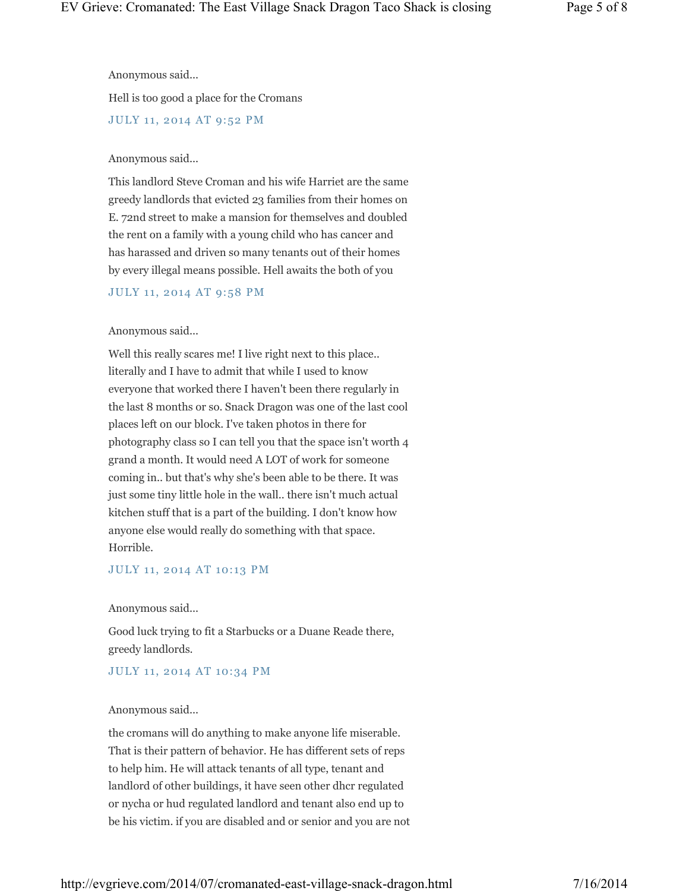Anonymous said...

Hell is too good a place for the Cromans

JULY 11, 2014 AT 9:52 PM

#### Anonymous said...

This landlord Steve Croman and his wife Harriet are the same greedy landlords that evicted 23 families from their homes on E. 72nd street to make a mansion for themselves and doubled the rent on a family with a young child who has cancer and has harassed and driven so many tenants out of their homes by every illegal means possible. Hell awaits the both of you

#### JULY 11, 2014 AT 9:58 PM

#### Anonymous said...

Well this really scares me! I live right next to this place.. literally and I have to admit that while I used to know everyone that worked there I haven't been there regularly in the last 8 months or so. Snack Dragon was one of the last cool places left on our block. I've taken photos in there for photography class so I can tell you that the space isn't worth 4 grand a month. It would need A LOT of work for someone coming in.. but that's why she's been able to be there. It was just some tiny little hole in the wall.. there isn't much actual kitchen stuff that is a part of the building. I don't know how anyone else would really do something with that space. Horrible.

#### JULY 11, 2014 AT 10:13 PM

#### Anonymous said...

Good luck trying to fit a Starbucks or a Duane Reade there, greedy landlords.

#### JULY 11, 2014 AT 10:34 PM

#### Anonymous said...

the cromans will do anything to make anyone life miserable. That is their pattern of behavior. He has different sets of reps to help him. He will attack tenants of all type, tenant and landlord of other buildings, it have seen other dhcr regulated or nycha or hud regulated landlord and tenant also end up to be his victim. if you are disabled and or senior and you are not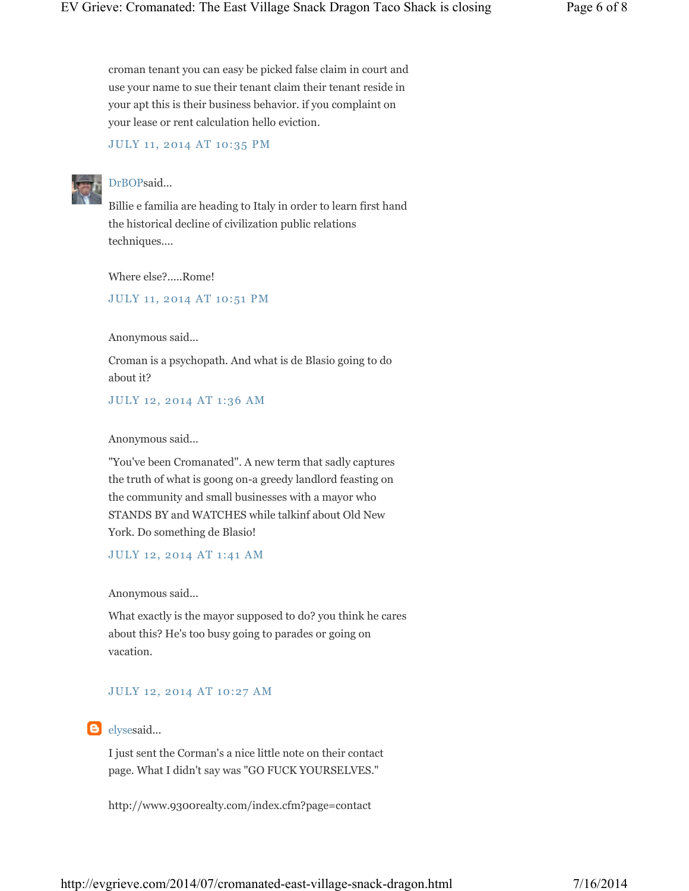croman tenant you can easy be picked false claim in court and use your name to sue their tenant claim their tenant reside in your apt this is their business behavior. if you complaint on your lease or rent calculation hello eviction.

#### JULY 11, 2014 AT 10:35 PM



### DrBOPsaid...

Billie e familia are heading to Italy in order to learn first hand the historical decline of civilization public relations techniques....

Where else?.....Rome!

JULY 11, 2014 AT 10:51 PM

Anonymous said...

Croman is a psychopath. And what is de Blasio going to do about it?

JULY 12, 2014 AT 1:36 AM

#### Anonymous said...

"You've been Cromanated". A new term that sadly captures the truth of what is goong on-a greedy landlord feasting on the community and small businesses with a mayor who STANDS BY and WATCHES while talkinf about Old New York. Do something de Blasio!

JULY 12, 2014 AT 1:41 AM

Anonymous said...

What exactly is the mayor supposed to do? you think he cares about this? He's too busy going to parades or going on vacation.

#### JULY 12, 2014 AT 10:27 AM

elysesaid...

I just sent the Corman's a nice little note on their contact page. What I didn't say was "GO FUCK YOURSELVES."

http://www.9300realty.com/index.cfm?page=contact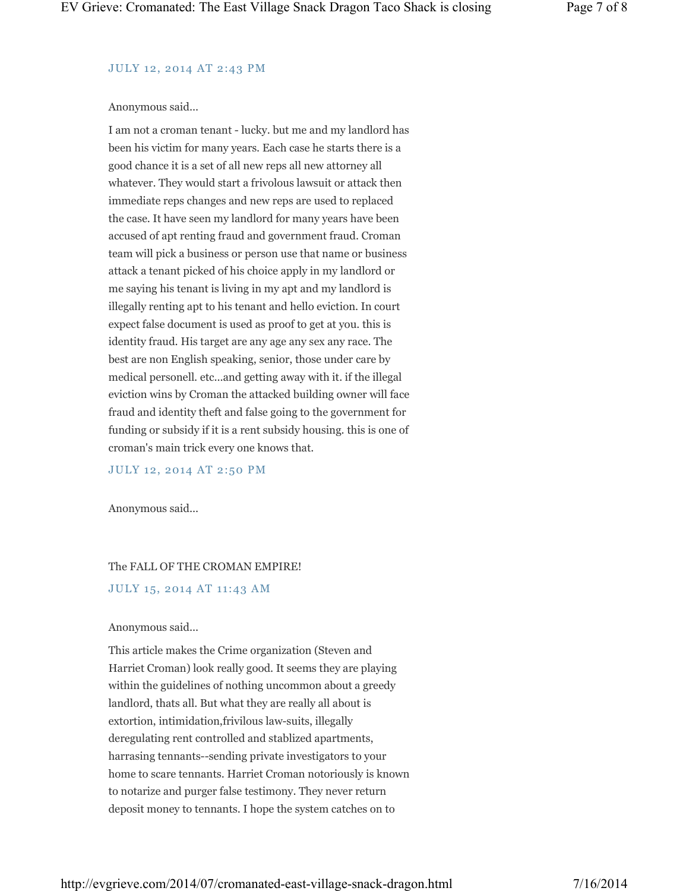# JULY 12, 2014 AT 2:43 PM

## Anonymous said...

I am not a croman tenant - lucky. but me and my landlord has been his victim for many years. Each case he starts there is a good chance it is a set of all new reps all new attorney all whatever. They would start a frivolous lawsuit or attack then immediate reps changes and new reps are used to replaced the case. It have seen my landlord for many years have been accused of apt renting fraud and government fraud. Croman team will pick a business or person use that name or business attack a tenant picked of his choice apply in my landlord or me saying his tenant is living in my apt and my landlord is illegally renting apt to his tenant and hello eviction. In court expect false document is used as proof to get at you. this is identity fraud. His target are any age any sex any race. The best are non English speaking, senior, those under care by medical personell. etc...and getting away with it. if the illegal eviction wins by Croman the attacked building owner will face fraud and identity theft and false going to the government for funding or subsidy if it is a rent subsidy housing. this is one of croman's main trick every one knows that.

JULY 12, 2014 AT 2:50 PM

Anonymous said...

# The FALL OF THE CROMAN EMPIRE!

# JULY 15, 2014 AT 11:43 AM

# Anonymous said...

This article makes the Crime organization (Steven and Harriet Croman) look really good. It seems they are playing within the guidelines of nothing uncommon about a greedy landlord, thats all. But what they are really all about is extortion, intimidation,frivilous law-suits, illegally deregulating rent controlled and stablized apartments, harrasing tennants--sending private investigators to your home to scare tennants. Harriet Croman notoriously is known to notarize and purger false testimony. They never return deposit money to tennants. I hope the system catches on to